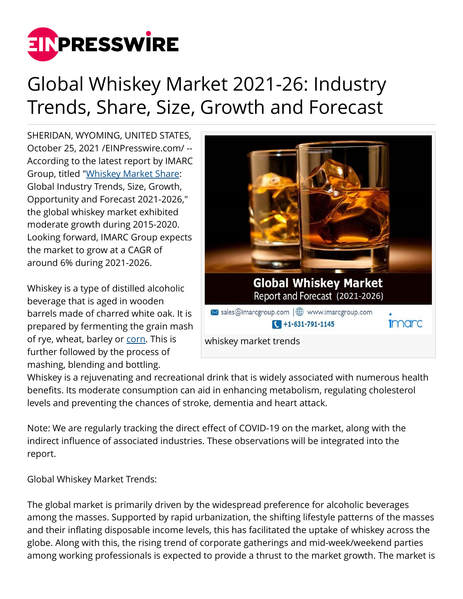

## Global Whiskey Market 2021-26: Industry Trends, Share, Size, Growth and Forecast

SHERIDAN, WYOMING, UNITED STATES, October 25, 2021 [/EINPresswire.com](http://www.einpresswire.com)/ -- According to the latest report by IMARC Group, titled "[Whiskey Market Share](https://bit.ly/3tPvPgW): Global Industry Trends, Size, Growth, Opportunity and Forecast 2021-2026," the global whiskey market exhibited moderate growth during 2015-2020. Looking forward, IMARC Group expects the market to grow at a CAGR of around 6% during 2021-2026.

Whiskey is a type of distilled alcoholic beverage that is aged in wooden barrels made of charred white oak. It is prepared by fermenting the grain mash of rye, wheat, barley or [corn.](https://bit.ly/3uLXZdO) This is further followed by the process of mashing, blending and bottling.



Whiskey is a rejuvenating and recreational drink that is widely associated with numerous health benefits. Its moderate consumption can aid in enhancing metabolism, regulating cholesterol levels and preventing the chances of stroke, dementia and heart attack.

Note: We are regularly tracking the direct effect of COVID-19 on the market, along with the indirect influence of associated industries. These observations will be integrated into the report.

Global Whiskey Market Trends:

The global market is primarily driven by the widespread preference for alcoholic beverages among the masses. Supported by rapid urbanization, the shifting lifestyle patterns of the masses and their inflating disposable income levels, this has facilitated the uptake of whiskey across the globe. Along with this, the rising trend of corporate gatherings and mid-week/weekend parties among working professionals is expected to provide a thrust to the market growth. The market is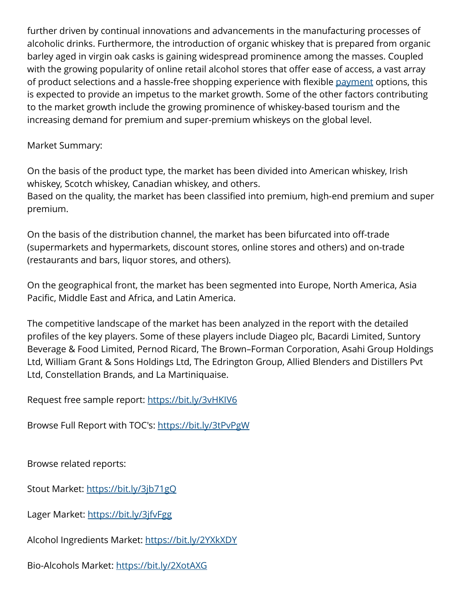further driven by continual innovations and advancements in the manufacturing processes of alcoholic drinks. Furthermore, the introduction of organic whiskey that is prepared from organic barley aged in virgin oak casks is gaining widespread prominence among the masses. Coupled with the growing popularity of online retail alcohol stores that offer ease of access, a vast array of product selections and a hassle-free shopping experience with flexible [payment](http://bit.ly/2JPkc4N) options, this is expected to provide an impetus to the market growth. Some of the other factors contributing to the market growth include the growing prominence of whiskey-based tourism and the increasing demand for premium and super-premium whiskeys on the global level.

## Market Summary:

On the basis of the product type, the market has been divided into American whiskey, Irish whiskey, Scotch whiskey, Canadian whiskey, and others.

Based on the quality, the market has been classified into premium, high-end premium and super premium.

On the basis of the distribution channel, the market has been bifurcated into off-trade (supermarkets and hypermarkets, discount stores, online stores and others) and on-trade (restaurants and bars, liquor stores, and others).

On the geographical front, the market has been segmented into Europe, North America, Asia Pacific, Middle East and Africa, and Latin America.

The competitive landscape of the market has been analyzed in the report with the detailed profiles of the key players. Some of these players include Diageo plc, Bacardi Limited, Suntory Beverage & Food Limited, Pernod Ricard, The Brown–Forman Corporation, Asahi Group Holdings Ltd, William Grant & Sons Holdings Ltd, The Edrington Group, Allied Blenders and Distillers Pvt Ltd, Constellation Brands, and La Martiniquaise.

## Request free sample report:<https://bit.ly/3vHKIV6>

Browse Full Report with TOC's: <https://bit.ly/3tPvPgW>

Browse related reports:

Stout Market:<https://bit.ly/3jb71gQ>

Lager Market: <https://bit.ly/3jfvFgg>

Alcohol Ingredients Market:<https://bit.ly/2YXkXDY>

Bio-Alcohols Market: <https://bit.ly/2XotAXG>